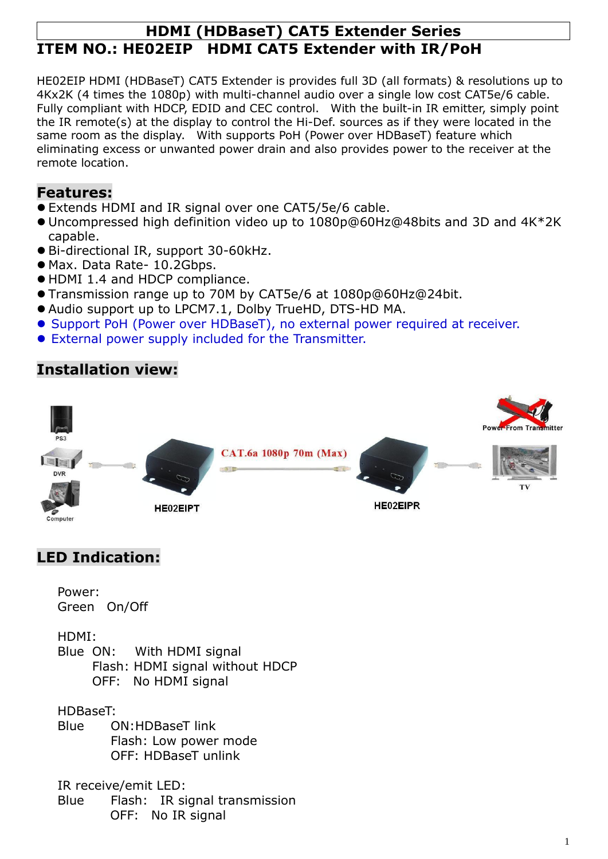## **HDMI (HDBaseT) CAT5 Extender Series ITEM NO.: HE02EIP HDMI CAT5 Extender with IR/PoH**

HE02EIP HDMI (HDBaseT) CAT5 Extender is provides full 3D (all formats) & resolutions up to 4Kx2K (4 times the 1080p) with multi-channel audio over a single low cost CAT5e/6 cable. Fully compliant with HDCP, EDID and CEC control. With the built-in IR emitter, simply point the IR remote(s) at the display to control the Hi-Def. sources as if they were located in the same room as the display. With supports PoH (Power over HDBaseT) feature which eliminating excess or unwanted power drain and also provides power to the receiver at the remote location.

## **Features:**

- Extends HDMI and IR signal over one CAT5/5e/6 cable.
- Uncompressed high definition video up to 1080p@60Hz@48bits and 3D and 4K\*2K capable.
- Bi-directional IR, support 30-60kHz.
- Max. Data Rate- 10.2Gbps.
- HDMI 1.4 and HDCP compliance.
- Transmission range up to 70M by CAT5e/6 at 1080p@60Hz@24bit.
- Audio support up to LPCM7.1, Dolby TrueHD, DTS-HD MA.
- Support PoH (Power over HDBaseT), no external power required at receiver.
- External power supply included for the Transmitter.

## **Installation view:**



## **LED Indication:**

Power: Green On/Off

HDMI:

Blue ON: With HDMI signal Flash: HDMI signal without HDCP OFF: No HDMI signal

HDBaseT:

Blue ON:HDBaseT link Flash: Low power mode OFF: HDBaseT unlink

IR receive/emit LED:

Blue Flash: IR signal transmission OFF: No IR signal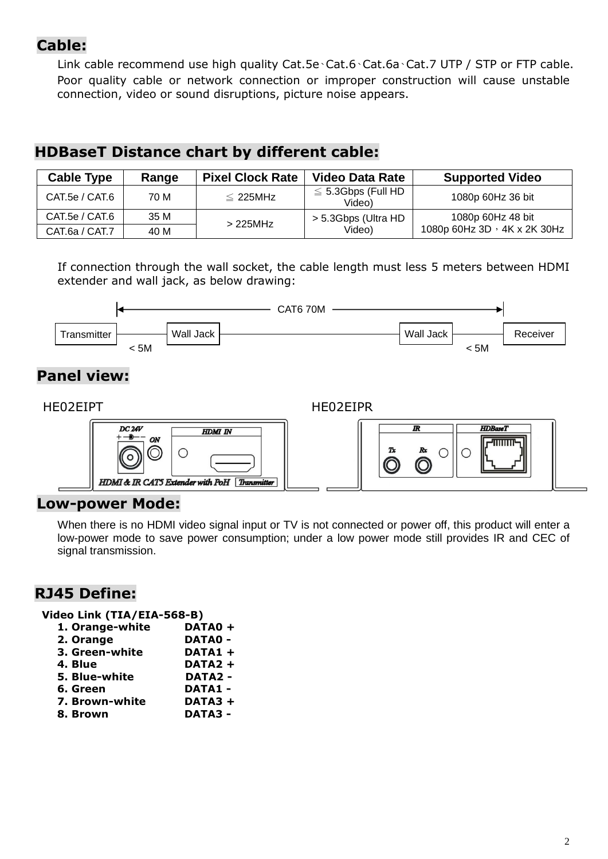## **Cable:**

Link cable recommend use high quality Cat.5e、Cat.6、Cat.6a、Cat.7 UTP / STP or FTP cable. Poor quality cable or network connection or improper construction will cause unstable connection, video or sound disruptions, picture noise appears.

## **HDBaseT Distance chart by different cable:**

| <b>Cable Type</b> | Range | <b>Pixel Clock Rate</b> | <b>Video Data Rate</b>            | <b>Supported Video</b>             |
|-------------------|-------|-------------------------|-----------------------------------|------------------------------------|
| CAT.5e / CAT.6    | 70 M  | $\leq$ 225MHz           | $\leq$ 5.3Gbps (Full HD<br>Video) | 1080p 60Hz 36 bit                  |
| CAT.5e / CAT.6    | 35 M  | > 225MHz                | > 5.3Gbps (Ultra HD)              | 1080p 60Hz 48 bit                  |
| CAT.6a / CAT.7    | 40 M  |                         | Video)                            | 1080p 60Hz 3D $\cdot$ 4K x 2K 30Hz |

If connection through the wall socket, the cable length must less 5 meters between HDMI extender and wall jack, as below drawing:



# **Panel view:**

#### HE02EIPT HE02EIPR



### **Low-power Mode:**

When there is no HDMI video signal input or TV is not connected or power off, this product will enter a low-power mode to save power consumption; under a low power mode still provides IR and CEC of signal transmission.

## **RJ45 Define:**

**Video Link (TIA/EIA-568-B)**

| 1. Orange-white | DATA0+              |
|-----------------|---------------------|
| 2. Orange       | <b>DATA0 -</b>      |
| 3. Green-white  | DATA1 +             |
| 4. Blue         | DATA <sub>2</sub> + |
| 5. Blue-white   | <b>DATA2 -</b>      |
| 6. Green        | <b>DATA1 -</b>      |
| 7. Brown-white  | DATA3+              |
| 8. Brown        | <b>DATA3 -</b>      |
|                 |                     |